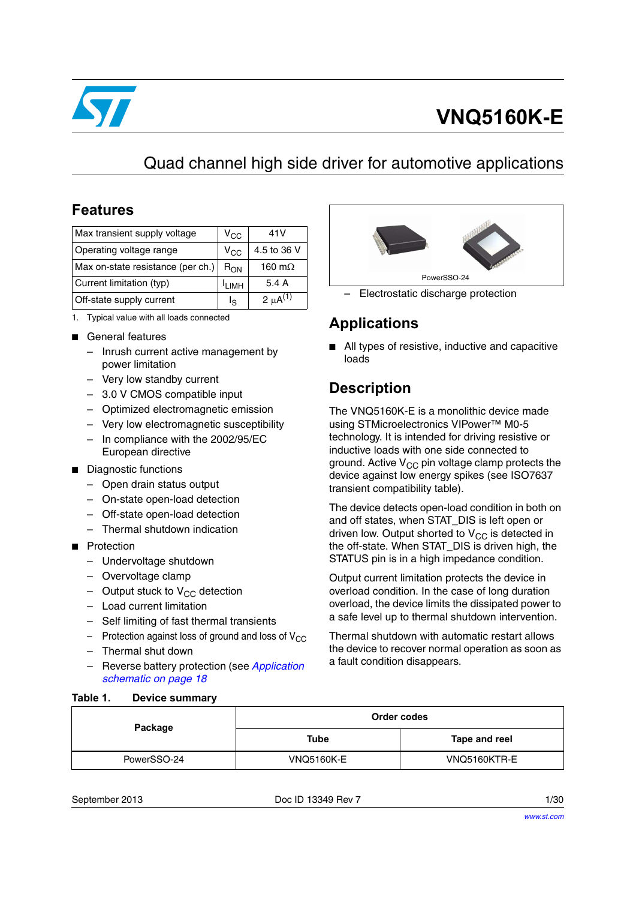

# **VNQ5160K-E**

# Quad channel high side driver for automotive applications

## **Features**

| Max transient supply voltage      | V <sub>CC</sub>   | 41 V                     |
|-----------------------------------|-------------------|--------------------------|
| Operating voltage range           | $V_{CC}$          | 4.5 to 36 V              |
| Max on-state resistance (per ch.) | $R_{ON}$          | 160 m $\Omega$           |
| Current limitation (typ)          | <sup>I</sup> LIMH | 5.4 A                    |
| Off-state supply current          | اج                | 2 $\mu$ A <sup>(1)</sup> |

- 1. Typical value with all loads connected
- General features
	- Inrush current active management by power limitation
	- Very low standby current
	- 3.0 V CMOS compatible input
	- Optimized electromagnetic emission
	- Very low electromagnetic susceptibility
	- In compliance with the 2002/95/EC European directive
- Diagnostic functions
	- Open drain status output
	- On-state open-load detection
	- Off-state open-load detection
	- Thermal shutdown indication
- Protection
	- Undervoltage shutdown
	- Overvoltage clamp
	- Output stuck to  $V_{CC}$  detection
	- Load current limitation
	- Self limiting of fast thermal transients
	- Protection against loss of ground and loss of  $V_{CC}$
	- Thermal shut down

<span id="page-0-0"></span>**Table 1. Device summary**

– Reverse battery protection (see *[Application](#page-17-0)  [schematic on page 18](#page-17-0)*



– Electrostatic discharge protection

# **Applications**

■ All types of resistive, inductive and capacitive loads

# **Description**

The VNQ5160K-E is a monolithic device made using STMicroelectronics VIPower™ M0-5 technology. It is intended for driving resistive or inductive loads with one side connected to ground. Active  $V_{CC}$  pin voltage clamp protects the device against low energy spikes (see ISO7637 transient compatibility table).

The device detects open-load condition in both on and off states, when STAT\_DIS is left open or driven low. Output shorted to  $V_{CC}$  is detected in the off-state. When STAT\_DIS is driven high, the STATUS pin is in a high impedance condition.

Output current limitation protects the device in overload condition. In the case of long duration overload, the device limits the dissipated power to a safe level up to thermal shutdown intervention.

Thermal shutdown with automatic restart allows the device to recover normal operation as soon as a fault condition disappears.

| Package     | Order codes       |               |  |
|-------------|-------------------|---------------|--|
|             | Tube              | Tape and reel |  |
| PowerSSO-24 | <b>VNQ5160K-E</b> | VNQ5160KTR-E  |  |

September 2013 Doc ID 13349 Rev 7 1/30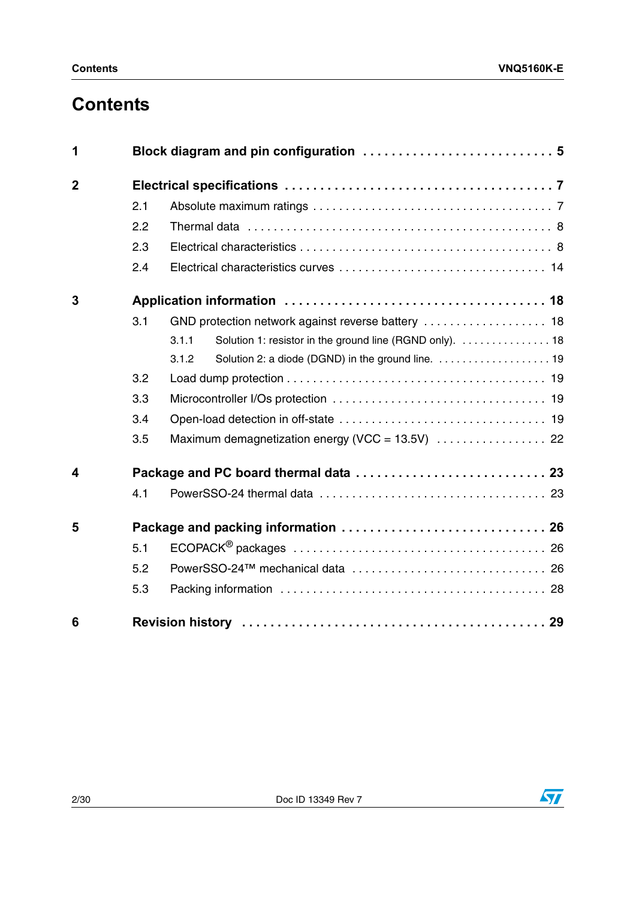# **Contents**

| 1                       |     |                                                                   |  |  |  |  |
|-------------------------|-----|-------------------------------------------------------------------|--|--|--|--|
| $\mathbf{2}$            |     |                                                                   |  |  |  |  |
|                         | 2.1 |                                                                   |  |  |  |  |
|                         | 2.2 |                                                                   |  |  |  |  |
|                         | 2.3 |                                                                   |  |  |  |  |
|                         | 2.4 |                                                                   |  |  |  |  |
| 3                       |     |                                                                   |  |  |  |  |
|                         | 3.1 |                                                                   |  |  |  |  |
|                         |     | Solution 1: resistor in the ground line (RGND only).  18<br>3.1.1 |  |  |  |  |
|                         |     | 3.1.2                                                             |  |  |  |  |
|                         | 3.2 |                                                                   |  |  |  |  |
|                         | 3.3 |                                                                   |  |  |  |  |
|                         | 3.4 |                                                                   |  |  |  |  |
|                         | 3.5 |                                                                   |  |  |  |  |
| $\overline{\mathbf{4}}$ |     |                                                                   |  |  |  |  |
|                         | 4.1 |                                                                   |  |  |  |  |
| 5                       |     |                                                                   |  |  |  |  |
|                         | 5.1 |                                                                   |  |  |  |  |
|                         | 5.2 |                                                                   |  |  |  |  |
|                         | 5.3 |                                                                   |  |  |  |  |
| 6                       |     |                                                                   |  |  |  |  |

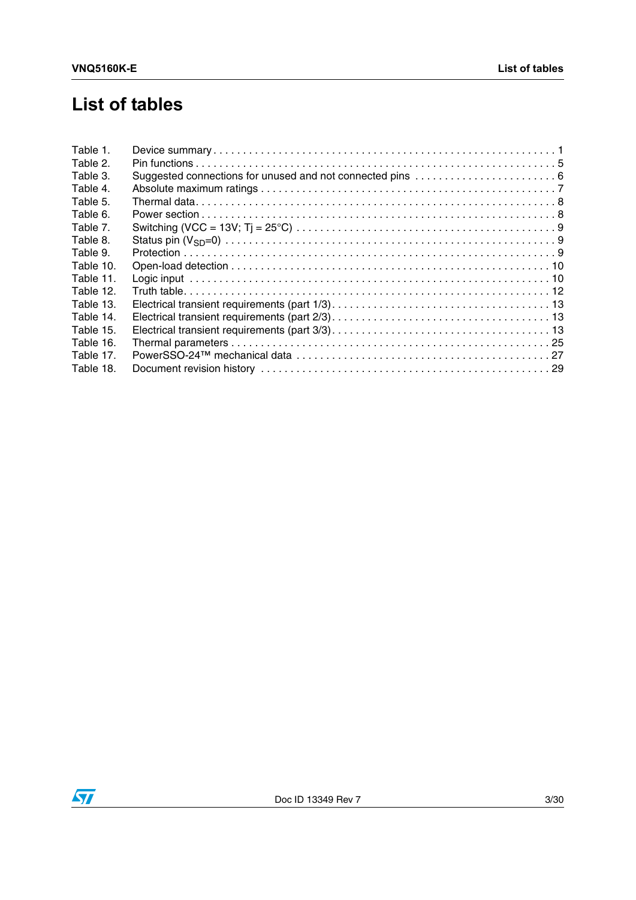# **List of tables**

| Table 1.  |  |
|-----------|--|
| Table 2.  |  |
| Table 3.  |  |
| Table 4.  |  |
| Table 5.  |  |
| Table 6.  |  |
| Table 7.  |  |
| Table 8.  |  |
| Table 9.  |  |
| Table 10. |  |
| Table 11. |  |
| Table 12. |  |
| Table 13. |  |
| Table 14. |  |
| Table 15. |  |
| Table 16. |  |
| Table 17. |  |
| Table 18. |  |

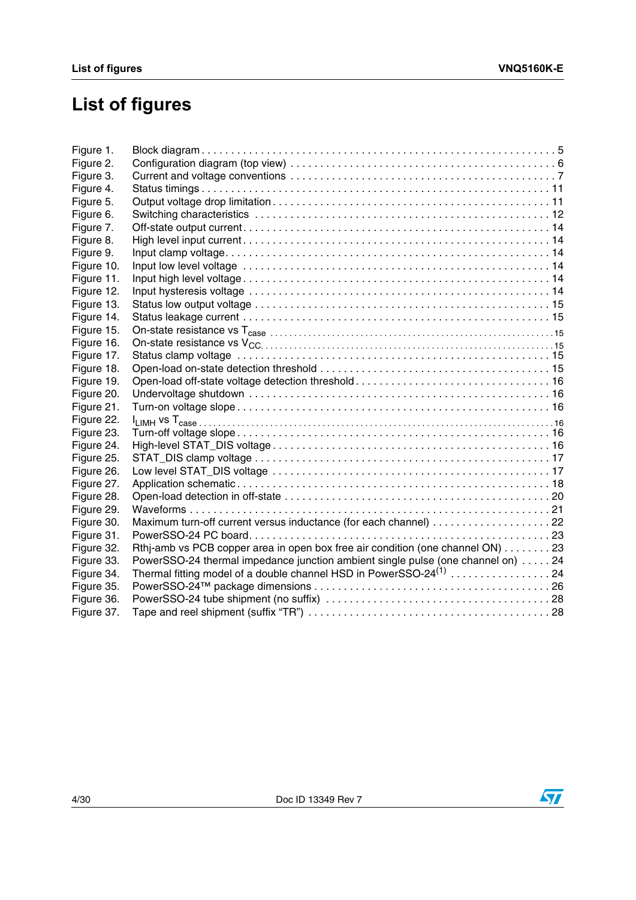# **List of figures**

| Maximum turn-off current versus inductance (for each channel) 22                |
|---------------------------------------------------------------------------------|
|                                                                                 |
| Rthj-amb vs PCB copper area in open box free air condition (one channel ON) 23  |
| PowerSSO-24 thermal impedance junction ambient single pulse (one channel on) 24 |
| Thermal fitting model of a double channel HSD in PowerSSO-24 $^{(1)}$ 24        |
|                                                                                 |
|                                                                                 |
|                                                                                 |
|                                                                                 |

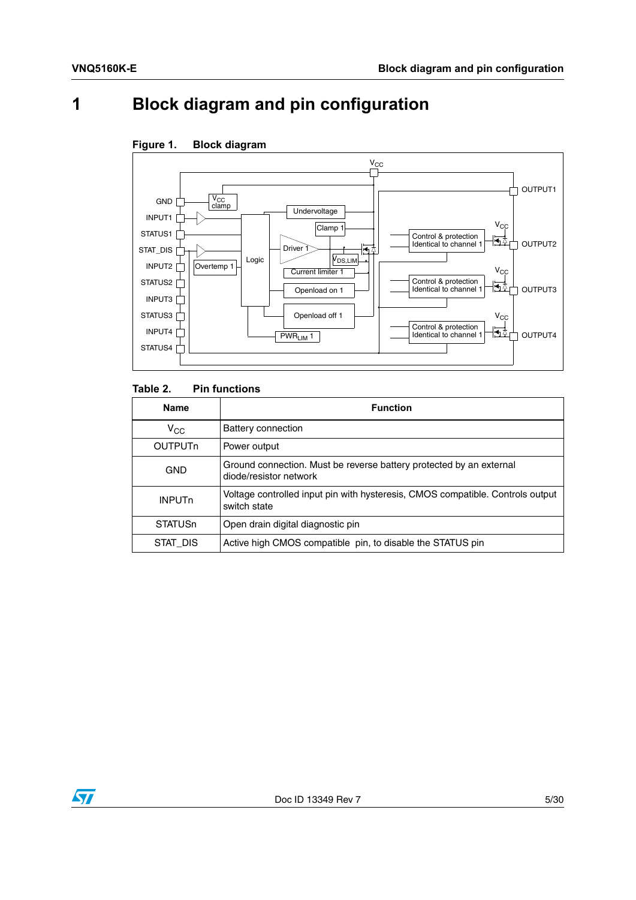# <span id="page-4-0"></span>**1 Block diagram and pin configuration**



### <span id="page-4-2"></span>**Figure 1. Block diagram**

### <span id="page-4-1"></span>Table 2. **Pin functions**

| <b>Name</b>               | <b>Function</b>                                                                                |
|---------------------------|------------------------------------------------------------------------------------------------|
| $V_{\rm CC}$              | Battery connection                                                                             |
| <b>OUTPUT<sub>n</sub></b> | Power output                                                                                   |
| <b>GND</b>                | Ground connection. Must be reverse battery protected by an external<br>diode/resistor network  |
| <b>INPUT<sub>n</sub></b>  | Voltage controlled input pin with hysteresis, CMOS compatible. Controls output<br>switch state |
| <b>STATUSn</b>            | Open drain digital diagnostic pin                                                              |
| STAT DIS                  | Active high CMOS compatible pin, to disable the STATUS pin                                     |

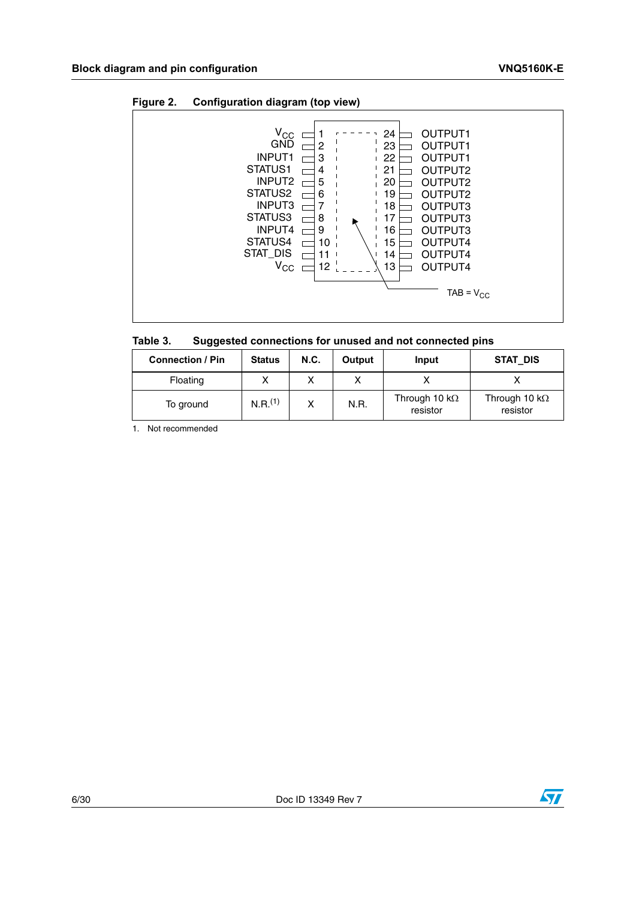<span id="page-5-1"></span>



<span id="page-5-0"></span>

| Table 3. | Suggested connections for unused and not connected pins |  |
|----------|---------------------------------------------------------|--|
|----------|---------------------------------------------------------|--|

| <b>Connection / Pin</b> | <b>Status</b>       | N.C. | Output | Input                             | STAT DIS                          |
|-------------------------|---------------------|------|--------|-----------------------------------|-----------------------------------|
| Floating                |                     |      |        |                                   |                                   |
| To ground               | N.R. <sup>(1)</sup> |      | N.R.   | Through 10 k $\Omega$<br>resistor | Through 10 k $\Omega$<br>resistor |

1. Not recommended

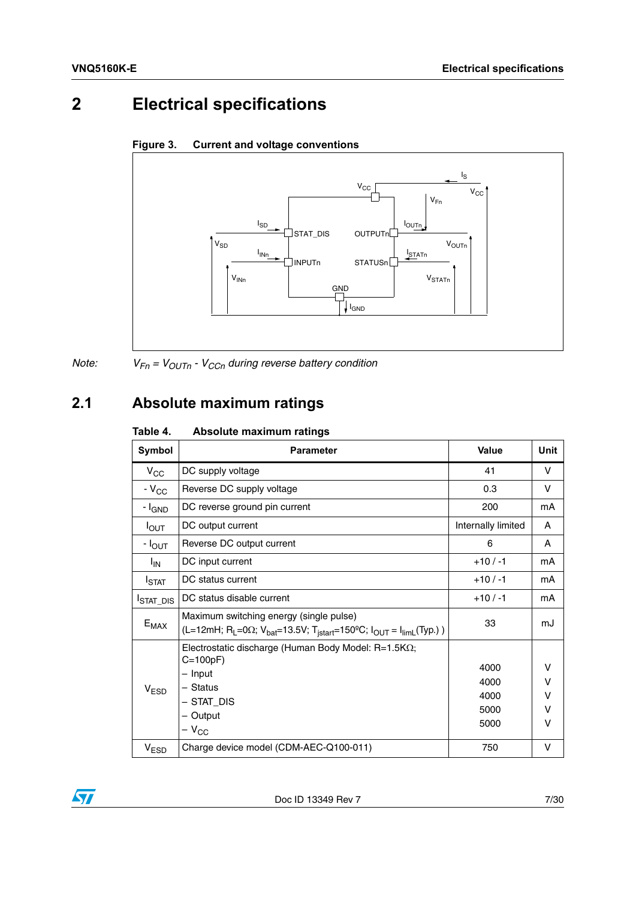# <span id="page-6-0"></span>**2 Electrical specifications**

<span id="page-6-3"></span>



*Note:*  $V_{Fn} = V_{OUTn} - V_{CCn}$  *during reverse battery condition* 

# <span id="page-6-1"></span>**2.1 Absolute maximum ratings**

### <span id="page-6-2"></span>Table 4. **Absolute maximum ratings**

| Symbol             | <b>Parameter</b>                                                                                                                                                                   | Value                                | <b>Unit</b>                     |
|--------------------|------------------------------------------------------------------------------------------------------------------------------------------------------------------------------------|--------------------------------------|---------------------------------|
| $V_{CC}$           | DC supply voltage                                                                                                                                                                  | 41                                   | v                               |
| $-V_{CC}$          | Reverse DC supply voltage                                                                                                                                                          | 0.3                                  | V                               |
| - I <sub>GND</sub> | DC reverse ground pin current                                                                                                                                                      | 200                                  | mA                              |
| $I_{\text{OUT}}$   | DC output current                                                                                                                                                                  | Internally limited                   | A                               |
| - I <sub>OUT</sub> | Reverse DC output current                                                                                                                                                          | 6                                    | A                               |
| <sup>I</sup> IN    | DC input current                                                                                                                                                                   | $+10/ -1$                            | mA                              |
| I <sub>STAT</sub>  | DC status current                                                                                                                                                                  | $+10/ -1$                            | mA                              |
| <b>STAT_DIS</b>    | DC status disable current                                                                                                                                                          | $+10/ -1$                            | mA                              |
| $E_{MAX}$          | Maximum switching energy (single pulse)<br>(L=12mH; R <sub>L</sub> =0 $\Omega$ ; V <sub>bat</sub> =13.5V; T <sub>istart</sub> =150°C; I <sub>OUT</sub> = I <sub>limL</sub> (Typ.)) | 33                                   | mJ                              |
| V <sub>ESD</sub>   | Electrostatic discharge (Human Body Model: $R=1.5K\Omega$ ;<br>$C=100pF$<br>- Input<br>- Status<br>- Stat Dis<br>- Output<br>$-V_{CC}$                                             | 4000<br>4000<br>4000<br>5000<br>5000 | v<br>v<br>$\vee$<br>$\vee$<br>v |
| $V_{ESD}$          | Charge device model (CDM-AEC-Q100-011)                                                                                                                                             | 750                                  | v                               |

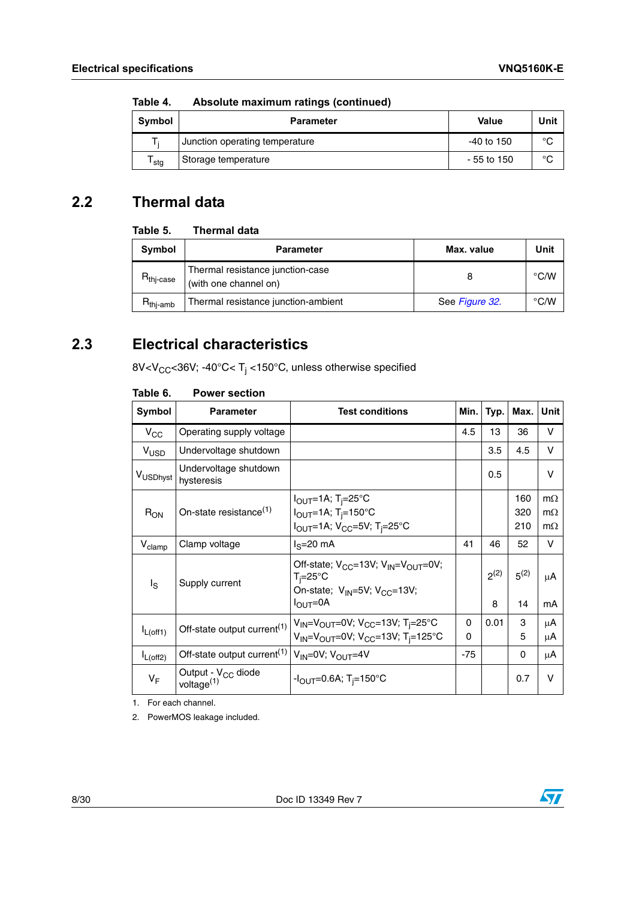| Symbol           | <b>Parameter</b>               | Value        | Unit        |
|------------------|--------------------------------|--------------|-------------|
|                  | Junction operating temperature | -40 to 150   | °C          |
| <sup>I</sup> sta | Storage temperature            | $-55$ to 150 | $\sim$<br>◡ |

**Table 4. Absolute maximum ratings (continued)**

## <span id="page-7-0"></span>**2.2 Thermal data**

### <span id="page-7-2"></span>Table 5. **Thermal data**

| Symbol                         | <b>Parameter</b>                                          | Max. value     | Unit          |
|--------------------------------|-----------------------------------------------------------|----------------|---------------|
| $R_{\mathsf{thi}\text{-case}}$ | Thermal resistance junction-case<br>(with one channel on) |                | $\degree$ C/W |
| $R_{thi-amb}$                  | Thermal resistance junction-ambient                       | See Figure 32. | $\degree$ C/W |

## <span id="page-7-1"></span>**2.3 Electrical characteristics**

8V<V<sub>CC</sub><36V; -40°C< T<sub>j</sub> <150°C, unless otherwise specified

| Symbol               | <b>Parameter</b>                                         | <b>Test conditions</b>                                                                                                                                                      | Min.          | Typ.           | Max.              | <b>Unit</b>                         |
|----------------------|----------------------------------------------------------|-----------------------------------------------------------------------------------------------------------------------------------------------------------------------------|---------------|----------------|-------------------|-------------------------------------|
| $V_{\rm CC}$         | Operating supply voltage                                 |                                                                                                                                                                             | 4.5           | 13             | 36                | v                                   |
| V <sub>USD</sub>     | Undervoltage shutdown                                    |                                                                                                                                                                             |               | 3.5            | 4.5               | $\vee$                              |
| V <sub>USDhyst</sub> | Undervoltage shutdown<br>hysteresis                      |                                                                                                                                                                             |               | 0.5            |                   | $\vee$                              |
| $R_{ON}$             | On-state resistance <sup>(1)</sup>                       | I <sub>OUT</sub> =1A; T <sub>i</sub> =25°C<br>$I_{\text{OUT}}=1$ A; T <sub>i</sub> =150°C<br>$I_{\text{OUT}} = 1$ A; V <sub>CC</sub> =5V; T <sub>i</sub> =25°C              |               |                | 160<br>320<br>210 | $m\Omega$<br>$m\Omega$<br>$m\Omega$ |
| $V_{\text{clamp}}$   | Clamp voltage                                            | $IS=20$ mA                                                                                                                                                                  | 41            | 46             | 52                | ν                                   |
| ls                   | Supply current                                           | Off-state; V <sub>CC</sub> =13V; V <sub>IN</sub> =V <sub>OUT</sub> =0V;<br>$T_i = 25^\circ \text{C}$<br>On-state; $V_{IN} = 5V$ ; $V_{CC} = 13V$ ;<br>$I_{\text{OUT}} = 0A$ |               | $2^{(2)}$<br>8 | $5^{(2)}$<br>14   | μA<br>mA                            |
| $I_{L(off1)}$        | Off-state output current <sup>(1)</sup>                  | $V_{IN} = V_{OUT} = 0V$ ; $V_{CC} = 13V$ ; T <sub>i</sub> =25°C<br>$V_{IN} = V_{OUT} = 0V$ ; $V_{CC} = 13V$ ; T <sub>i</sub> =125°C                                         | 0<br>$\Omega$ | 0.01           | 3<br>5            | μA<br>μA                            |
| $I_{L(off2)}$        | Off-state output current <sup>(1)</sup>                  | $V_{IN} = 0V$ ; $V_{OUIT} = 4V$                                                                                                                                             | $-75$         |                | 0                 | μA                                  |
| $V_F$                | Output - V <sub>CC</sub> diode<br>voltage <sup>(1)</sup> | $-I_{\rm OUT} = 0.6$ A; T <sub>i</sub> =150°C                                                                                                                               |               |                | 0.7               | $\vee$                              |

### <span id="page-7-3"></span>Table 6. **Power section**

1. For each channel.

2. PowerMOS leakage included.

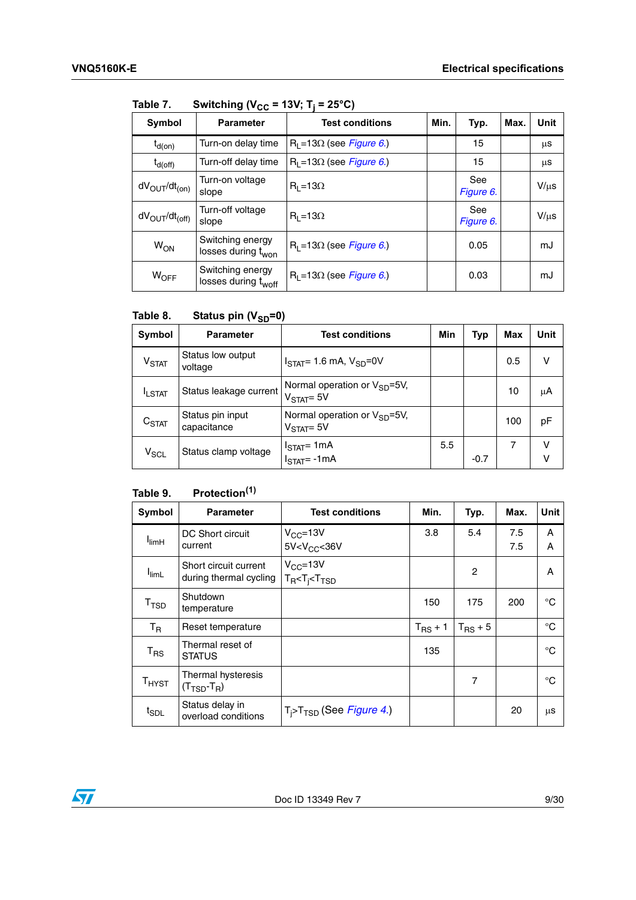| .                                  | omwuud Lacc                                         | .<br>$\sim$ $\sim$ $\prime$      |  |                  |      |           |
|------------------------------------|-----------------------------------------------------|----------------------------------|--|------------------|------|-----------|
| Symbol                             | <b>Parameter</b>                                    | Min.<br><b>Test conditions</b>   |  | Typ.             | Max. | Unit      |
| $t_{d(on)}$                        | Turn-on delay time                                  | $R_1 = 13\Omega$ (see Figure 6.) |  | 15               |      | μS        |
| $t_{d(off)}$                       | Turn-off delay time                                 | $R_1 = 13\Omega$ (see Figure 6.) |  | 15               |      | μS        |
| $dV_{\text{OUT}}/dt_{\text{(on)}}$ | Turn-on voltage<br>slope                            | $R_1 = 13\Omega$                 |  | See<br>Figure 6. |      | $V/\mu s$ |
| $dV_{\rm OUT}/dt_{\rm (off)}$      | Turn-off voltage<br>slope                           | $R_1 = 13\Omega$                 |  | See<br>Figure 6. |      | $V/\mu s$ |
| <b>W<sub>ON</sub></b>              | Switching energy<br>losses during t <sub>won</sub>  | $R_1 = 13\Omega$ (see Figure 6.) |  | 0.05             |      | mJ        |
| $W_{OFF}$                          | Switching energy<br>losses during t <sub>woff</sub> | $R_1 = 13\Omega$ (see Figure 6.) |  | 0.03             |      | mJ        |

<span id="page-8-0"></span>Table 7 **Switching (V<sub>CC</sub> = 13V; T<sub>i</sub> = 25°C)** 

### <span id="page-8-1"></span>Table 8. **Status pin (V<sub>SD</sub>=0)**

| Symbol                       | <b>Parameter</b>                | <b>Test conditions</b>                                     | Min | <b>Typ</b> | Max | Unit   |
|------------------------------|---------------------------------|------------------------------------------------------------|-----|------------|-----|--------|
| $\mathsf{V}_{\mathsf{STAT}}$ | Status low output<br>voltage    | $ISTAT= 1.6$ mA, $VSD=0V$                                  |     |            | 0.5 | ν      |
| <b>ILSTAT</b>                | Status leakage current          | Normal operation or $V_{SD} = 5V$ ,<br>$VSTAT = 5V$        |     |            | 10  | μA     |
| $C_{\text{STAT}}$            | Status pin input<br>capacitance | Normal operation or $V_{SD} = 5V$ ,<br>$\rm V_{STAT}$ = 5V |     |            | 100 | pF     |
| $V_{SCL}$                    | Status clamp voltage            | $I_{\text{STAT}}$ = 1mA<br>$ISTAT=-1mA$                    | 5.5 | $-0.7$     | 7   | ν<br>ν |

### <span id="page-8-2"></span>Table 9. **Table 9. Protection(1)**

| Symbol                       | <b>Parameter</b>                                      | <b>Test conditions</b>                                   | Min.                | Typ.         | Max.       | Unit        |
|------------------------------|-------------------------------------------------------|----------------------------------------------------------|---------------------|--------------|------------|-------------|
| <sup>I</sup> limH            | DC Short circuit<br>current                           | $V_{CC} = 13V$<br>$5V$                                   | 3.8                 | 5.4          | 7.5<br>7.5 | A<br>Α      |
| <sup>I</sup> limL            | Short circuit current<br>during thermal cycling       | $V_{CC} = 13V$<br>$T_R < T_i < T_{TSD}$                  |                     | 2            |            | A           |
| T <sub>TSD</sub>             | Shutdown<br>temperature                               |                                                          | 150                 | 175          | 200        | °C          |
| $T_R$                        | Reset temperature                                     |                                                          | $T_{\text{RS}} + 1$ | $T_{RS}$ + 5 |            | $^{\circ}C$ |
| $\mathsf{T}_{\mathsf{RS}}$   | Thermal reset of<br><b>STATUS</b>                     |                                                          | 135                 |              |            | °C          |
| $T_{H YST}$                  | Thermal hysteresis<br>$(T_{\text{TSD}}-T_{\text{R}})$ |                                                          |                     | 7            |            | °C          |
| $t_{\scriptstyle\text{SDL}}$ | Status delay in<br>overload conditions                | T <sub>i</sub> >T <sub>TSD</sub> (See <i>Figure 4.</i> ) |                     |              | 20         | μS          |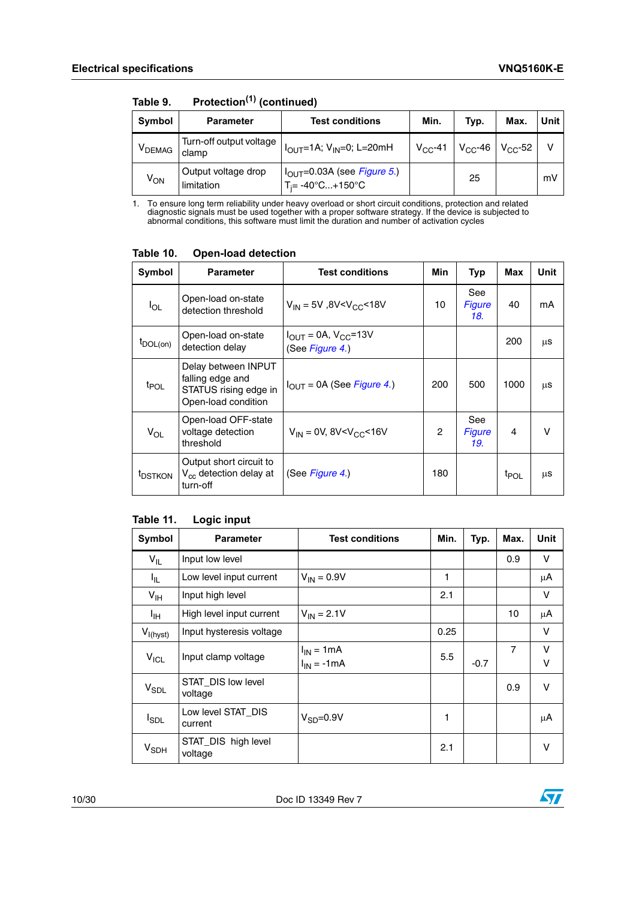| Symbol                        | <b>Parameter</b>                  | <b>Test conditions</b>                                                      | Min.         | Typ.         | Max.         | Unit |
|-------------------------------|-----------------------------------|-----------------------------------------------------------------------------|--------------|--------------|--------------|------|
| $\mathsf{V}_{\mathsf{DEMAG}}$ | Turn-off output voltage<br>clamp  | $I_{\text{OUT}}$ =1A; V <sub>IN</sub> =0; L=20mH                            | $V_{CC}$ -41 | $V_{CC}$ -46 | $V_{CC}$ -52 | v    |
| $V_{ON}$                      | Output voltage drop<br>limitation | $I_{\text{OUT}}=0.03A$ (see Figure 5.)<br>$T_i = -40^{\circ}C+150^{\circ}C$ |              | 25           |              | mV   |

**Table 9. Protection(1) (continued)**

1. To ensure long term reliability under heavy overload or short circuit conditions, protection and related diagnostic signals must be used together with a proper software strategy. If the device is subjected to abnormal conditions, this software must limit the duration and number of activation cycles

<span id="page-9-0"></span>

| Symbol              | <b>Parameter</b>                                                                        | <b>Test conditions</b>                                        | Min            | Typ                         | Max              | Unit |
|---------------------|-----------------------------------------------------------------------------------------|---------------------------------------------------------------|----------------|-----------------------------|------------------|------|
| $I_{OL}$            | Open-load on-state<br>detection threshold                                               | $V_{IN}$ = 5V, 8V <v<sub>CC&lt;18V</v<sub>                    | 10             | See<br><b>Figure</b><br>18. | 40               | mA   |
| IDOL(on)            | Open-load on-state<br>detection delay                                                   | $I_{\text{OUT}} = 0A, V_{\text{CC}} = 13V$<br>(See Figure 4.) |                |                             | 200              | μS   |
| <sup>t</sup> POL    | Delay between INPUT<br>falling edge and<br>STATUS rising edge in<br>Open-load condition | $I_{OUT} = 0A$ (See Figure 4.)                                | 200            | 500                         | 1000             | μS   |
| $V_{OL}$            | Open-load OFF-state<br>voltage detection<br>threshold                                   | $V_{IN}$ = 0V, 8V <v<sub>CC&lt;16V</v<sub>                    | $\overline{c}$ | See<br><b>Figure</b><br>19. | 4                | v    |
| <sup>t</sup> DSTKON | Output short circuit to<br>$V_{cc}$ detection delay at<br>turn-off                      | (See <i>Figure 4.</i> )                                       | 180            |                             | t <sub>POL</sub> | μS   |

### <span id="page-9-1"></span>Table 11. **Logic input**

| Symbol          | <b>Parameter</b>               | <b>Test conditions</b>             | Min. | Typ.   | Max. | Unit        |
|-----------------|--------------------------------|------------------------------------|------|--------|------|-------------|
| $V_{IL}$        | Input low level                |                                    |      |        | 0.9  | v           |
| I <sub>IL</sub> | Low level input current        | $V_{IN} = 0.9V$                    | 1    |        |      | μA          |
| $V_{\text{IH}}$ | Input high level               |                                    | 2.1  |        |      | V           |
| ŀщ              | High level input current       | $V_{IN} = 2.1V$                    |      |        | 10   | μA          |
| $V_{I(hyst)}$   | Input hysteresis voltage       |                                    | 0.25 |        |      | v           |
| $V_{ICL}$       | Input clamp voltage            | $I_{IN}$ = 1 mA<br>$I_{IN} = -1mA$ | 5.5  | $-0.7$ | 7    | v<br>$\vee$ |
| $V_{SDL}$       | STAT_DIS low level<br>voltage  |                                    |      |        | 0.9  | V           |
| $I_{SDL}$       | Low level STAT DIS<br>current  | $V_{SD} = 0.9V$                    | 1    |        |      | μA          |
| $V_{SDH}$       | STAT_DIS high level<br>voltage |                                    | 2.1  |        |      | V           |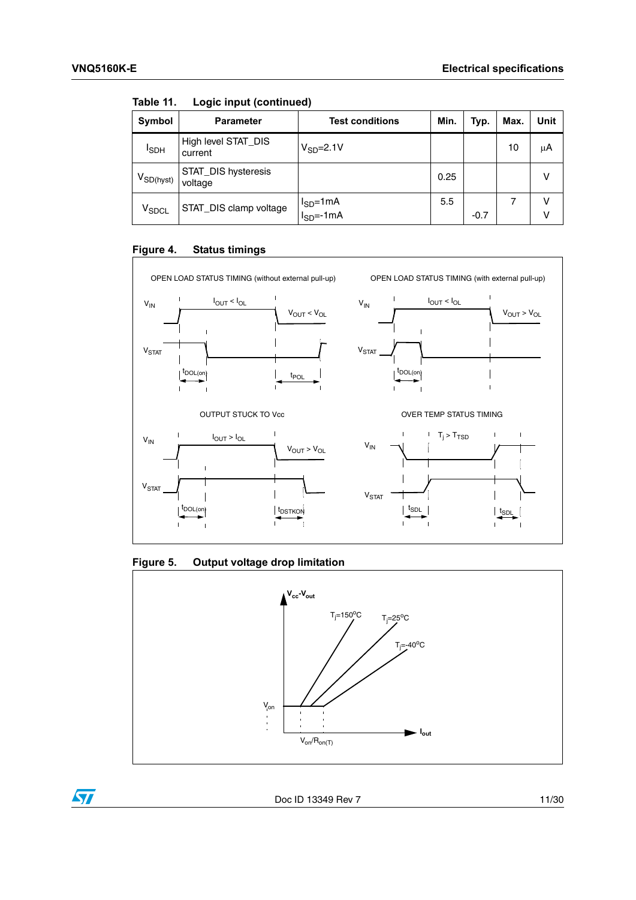| Symbol            | <b>Parameter</b>               | <b>Test conditions</b>                        | Min. | Typ.   | Max. | <b>Unit</b> |
|-------------------|--------------------------------|-----------------------------------------------|------|--------|------|-------------|
| <sup>I</sup> SDH  | High level STAT_DIS<br>current | $V_{SD} = 2.1V$                               |      |        | 10   | μA          |
| $V_{SD(hyst)}$    | STAT_DIS hysteresis<br>voltage |                                               | 0.25 |        |      | v           |
| V <sub>SDCL</sub> | STAT_DIS clamp voltage         | l <sub>SD</sub> =1mA<br>l <sub>SD</sub> =-1mA | 5.5  | $-0.7$ |      | v<br>ν      |

**Table 11. Logic input (continued)**

### <span id="page-10-0"></span>**Figure 4. Status timings**



### <span id="page-10-1"></span>**Figure 5. Output voltage drop limitation**



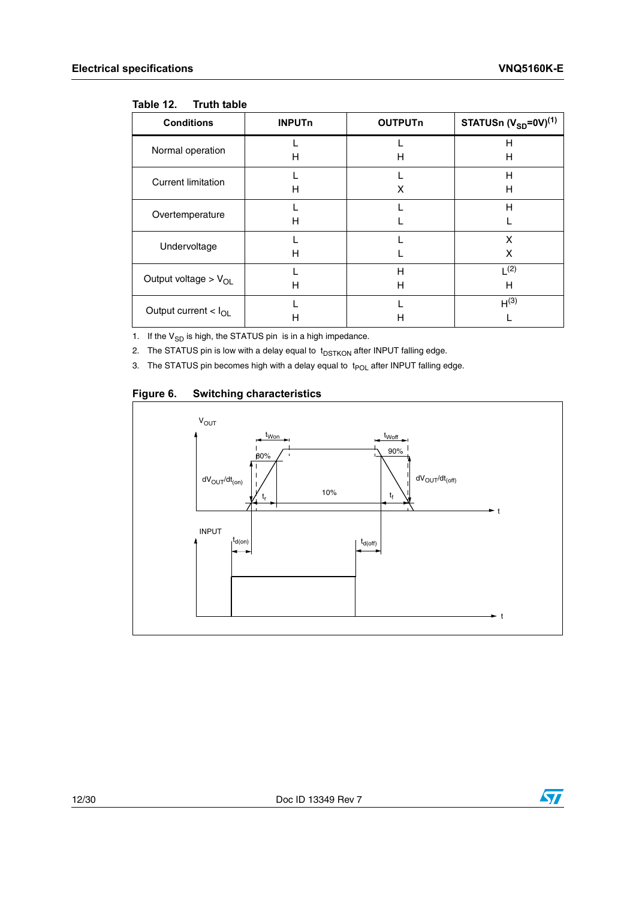<span id="page-11-0"></span>

|  | Table 12. |  | <b>Truth table</b> |  |
|--|-----------|--|--------------------|--|
|--|-----------|--|--------------------|--|

| <b>Conditions</b>                | <b>INPUTn</b> | <b>OUTPUTn</b> | STATUSn $(V_{SD} = 0V)^{(1)}$ |
|----------------------------------|---------------|----------------|-------------------------------|
| Normal operation                 | н             | н              | н<br>н                        |
|                                  |               |                |                               |
| <b>Current limitation</b>        |               |                | н                             |
|                                  | н             | X              | н                             |
| Overtemperature                  |               |                | H                             |
|                                  | н             |                |                               |
| Undervoltage                     |               |                | X                             |
|                                  | н             |                | x                             |
| Output voltage > $V_{OL}$        |               | H              | $\lfloor (2) \rfloor$         |
|                                  | н             | н              | н                             |
| Output current $< I_{\text{OL}}$ |               |                | H <sup>(3)</sup>              |
|                                  | н             | н              |                               |

1. If the  $V_{SD}$  is high, the STATUS pin is in a high impedance.

2. The STATUS pin is low with a delay equal to  $t_{\text{DSTKON}}$  after INPUT falling edge.

3. The STATUS pin becomes high with a delay equal to  $t_{POL}$  after INPUT falling edge.

### <span id="page-11-1"></span>**Figure 6. Switching characteristics**



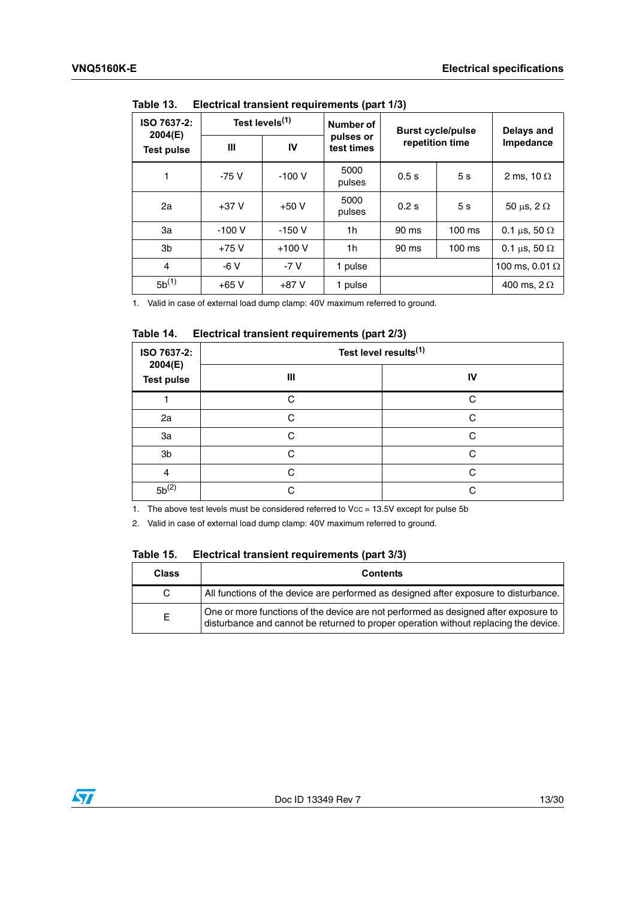| IUNIV IV.<br>Liven iour munorum requiremento (part no) |                            |         |                         |                          |                |                          |  |
|--------------------------------------------------------|----------------------------|---------|-------------------------|--------------------------|----------------|--------------------------|--|
| ISO 7637-2:<br>2004(E)                                 | Test levels <sup>(1)</sup> |         | Number of               | <b>Burst cycle/pulse</b> |                | Delays and               |  |
| <b>Test pulse</b>                                      | Ш                          | IV      | pulses or<br>test times | repetition time          |                | Impedance                |  |
| 1                                                      | $-75V$                     | $-100V$ | 5000<br>pulses          | 0.5s                     | 5 <sub>s</sub> | 2 ms, 10 $\Omega$        |  |
| 2a                                                     | $+37V$                     | $+50V$  | 5000<br>pulses          | 0.2 s                    | 5 <sub>s</sub> | 50 $\mu$ s, 2 $\Omega$   |  |
| За                                                     | $-100V$                    | $-150V$ | 1h                      | 90 ms                    | $100$ ms       | 0.1 $\mu$ s, 50 $\Omega$ |  |
| 3b                                                     | $+75V$                     | $+100V$ | 1h                      | 90 ms                    | $100$ ms       | 0.1 $\mu$ s, 50 $\Omega$ |  |
| 4                                                      | $-6V$                      | $-7V$   | 1 pulse                 |                          |                | 100 ms, 0.01 $\Omega$    |  |
| $5b^{(1)}$                                             | $+65V$                     | $+87V$  | 1 pulse                 |                          |                | 400 ms, $2 \Omega$       |  |

<span id="page-12-0"></span>Table 13 **Flectrical transient requirements (part 1/3)** 

1. Valid in case of external load dump clamp: 40V maximum referred to ground.

### <span id="page-12-1"></span>Table 14. **Electrical transient requirements (part 2/3)**

| ISO 7637-2:<br>2004(E) | Test level results <sup>(1)</sup> |    |  |  |  |
|------------------------|-----------------------------------|----|--|--|--|
| <b>Test pulse</b>      | $\mathbf{III}$                    | IV |  |  |  |
|                        | C                                 | C. |  |  |  |
| 2a                     | C                                 | C  |  |  |  |
| 3a                     | C                                 | C. |  |  |  |
| 3b                     | $\Omega$                          | C. |  |  |  |
| 4                      | C                                 | C. |  |  |  |
| $5b^{(2)}$             | ⌒                                 | C  |  |  |  |

1. The above test levels must be considered referred to Vcc = 13.5V except for pulse 5b

2. Valid in case of external load dump clamp: 40V maximum referred to ground.

<span id="page-12-2"></span>

| Table 15. |  |  | Electrical transient requirements (part 3/3) |  |
|-----------|--|--|----------------------------------------------|--|
|-----------|--|--|----------------------------------------------|--|

| <b>Class</b> | <b>Contents</b>                                                                                                                                                             |
|--------------|-----------------------------------------------------------------------------------------------------------------------------------------------------------------------------|
| C.           | All functions of the device are performed as designed after exposure to disturbance.                                                                                        |
| Е            | One or more functions of the device are not performed as designed after exposure to<br>disturbance and cannot be returned to proper operation without replacing the device. |

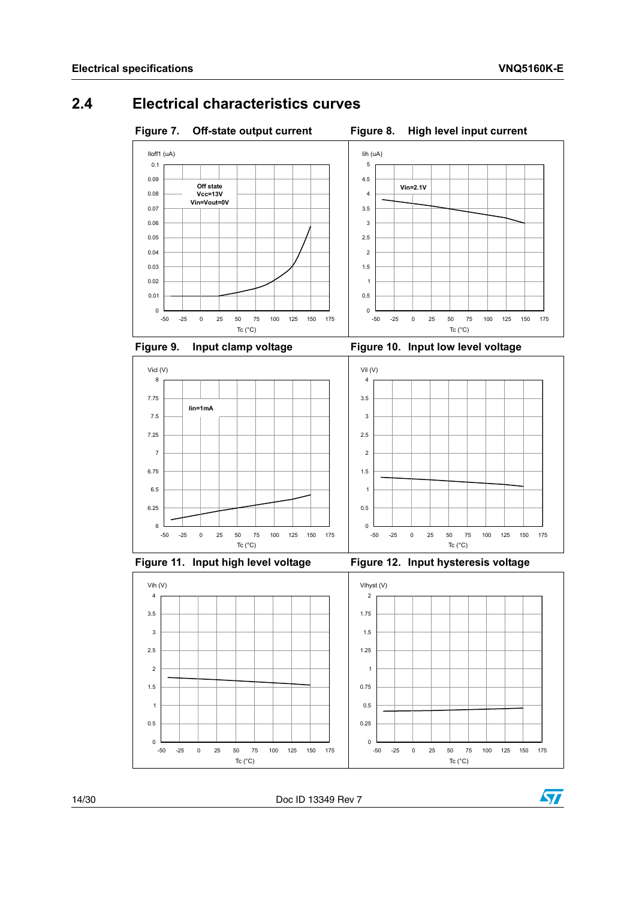## <span id="page-13-0"></span>**2.4 Electrical characteristics curves**

<span id="page-13-1"></span>

<span id="page-13-2"></span>

<span id="page-13-3"></span>

<span id="page-13-4"></span>





<span id="page-13-5"></span>

<span id="page-13-6"></span>

14/30 Doc ID 13349 Rev 7

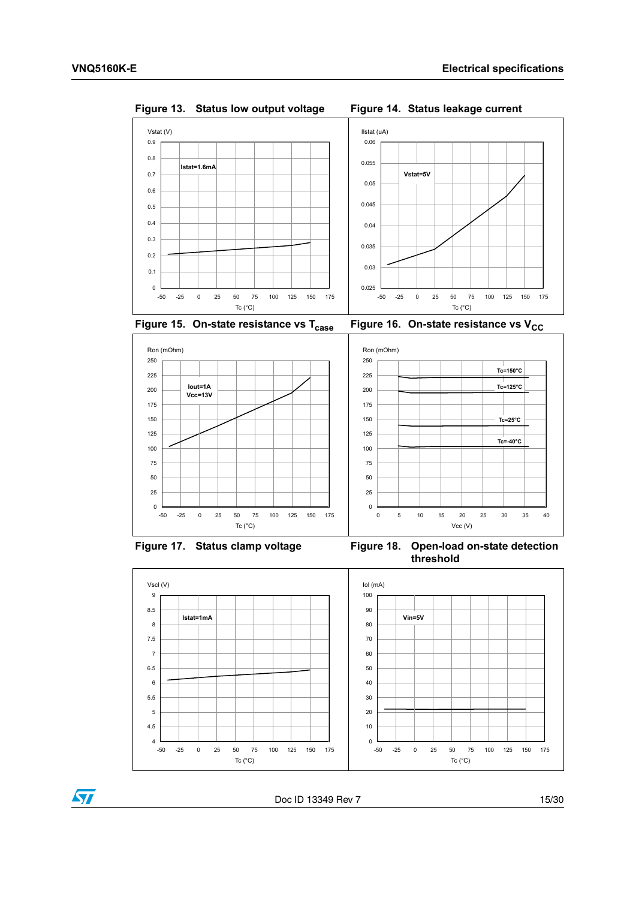

<span id="page-14-0"></span>**Figure 13. Status low output voltage Figure 14. Status leakage current**

<span id="page-14-1"></span>

<span id="page-14-2"></span>**Figure 15. On-state resistance vs T<sub>case</sub> Figure 16. On-state resistance vs V<sub>CC</sub>** 

<span id="page-14-3"></span>





<span id="page-14-5"></span><span id="page-14-4"></span>Figure 17. Status clamp voltage Figure 18. Open-load on-state detection **threshold**



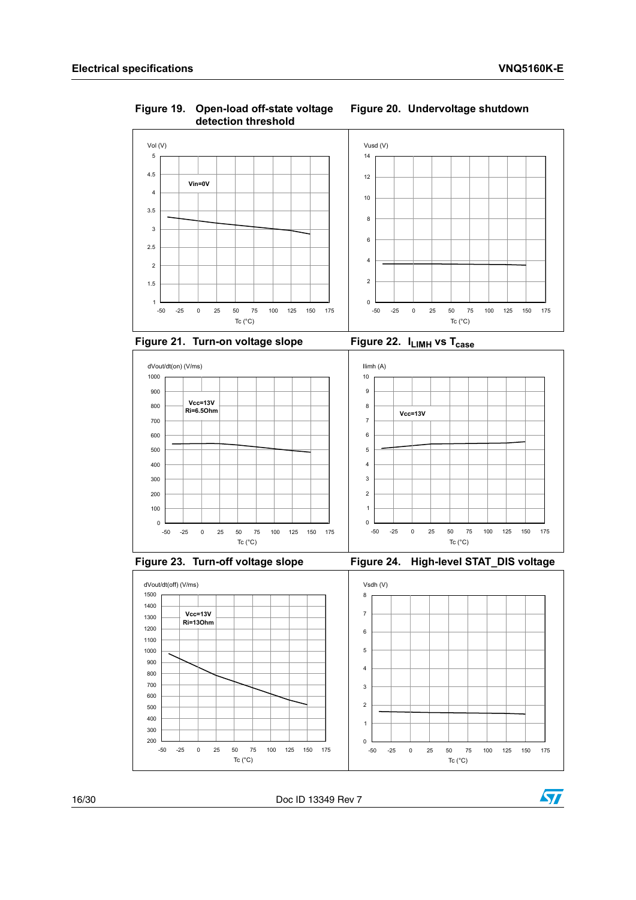<span id="page-15-4"></span><span id="page-15-2"></span>

### <span id="page-15-5"></span><span id="page-15-3"></span><span id="page-15-1"></span><span id="page-15-0"></span>**Figure 19. Open-load off-state voltage detection threshold Figure 20. Undervoltage shutdown**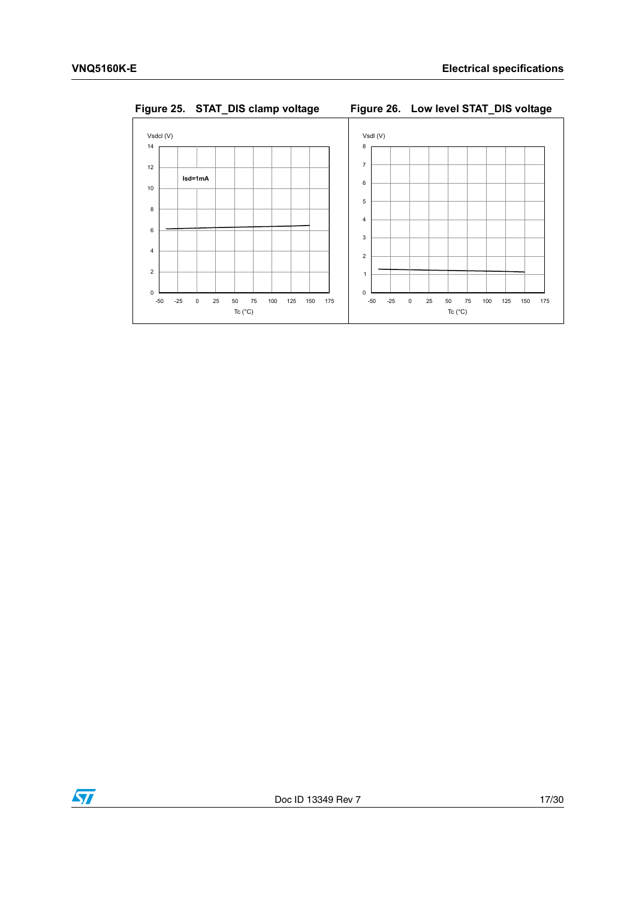

<span id="page-16-1"></span>

<span id="page-16-0"></span>

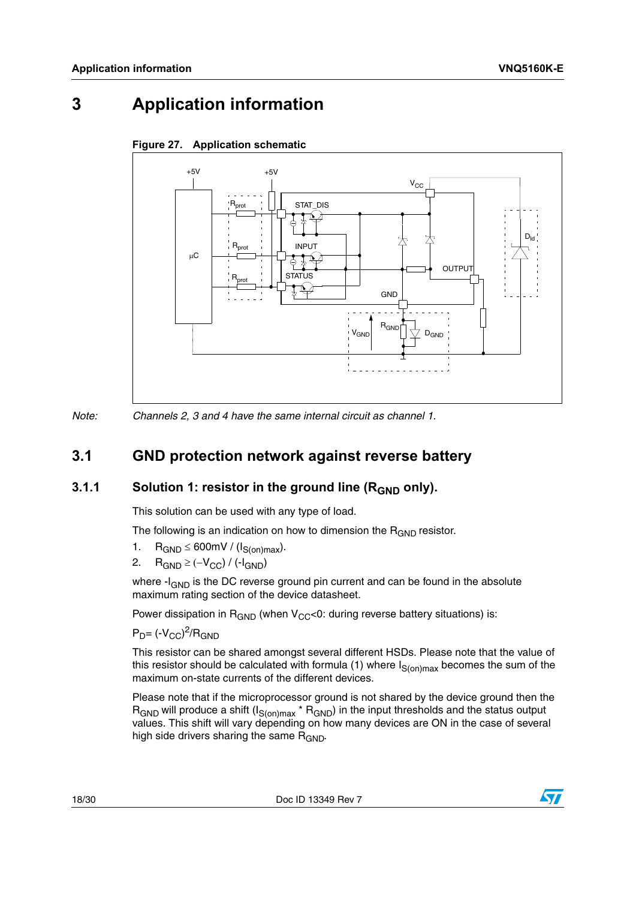# <span id="page-17-1"></span>**3 Application information**

<span id="page-17-0"></span>

### <span id="page-17-4"></span>**Figure 27. Application schematic**

*Note: Channels 2, 3 and 4 have the same internal circuit as channel 1.*

## <span id="page-17-2"></span>**3.1 GND protection network against reverse battery**

### <span id="page-17-3"></span>**3.1.1** Solution 1: resistor in the ground line (R<sub>GND</sub> only).

This solution can be used with any type of load.

The following is an indication on how to dimension the  $R_{GND}$  resistor.

- 1.  $R_{GND} \leq 600$  mV / ( $I_{S(on)max}$ ).
- 2.  $R_{GND} \geq (-V_{CC}) / (-I_{GND})$

where  $-I<sub>GND</sub>$  is the DC reverse ground pin current and can be found in the absolute maximum rating section of the device datasheet.

Power dissipation in  $R_{GND}$  (when  $V_{CC}$ <0: during reverse battery situations) is:

 $P_D$ = (- $V_{CC}$ )<sup>2</sup>/R<sub>GND</sub>

This resistor can be shared amongst several different HSDs. Please note that the value of this resistor should be calculated with formula (1) where  $I_{S(on)max}$  becomes the sum of the maximum on-state currents of the different devices.

Please note that if the microprocessor ground is not shared by the device ground then the  $R_{GND}$  will produce a shift  $(I_{S(on)max} * R_{GND})$  in the input thresholds and the status output values. This shift will vary depending on how many devices are ON in the case of several high side drivers sharing the same  $R_{GND}$ .

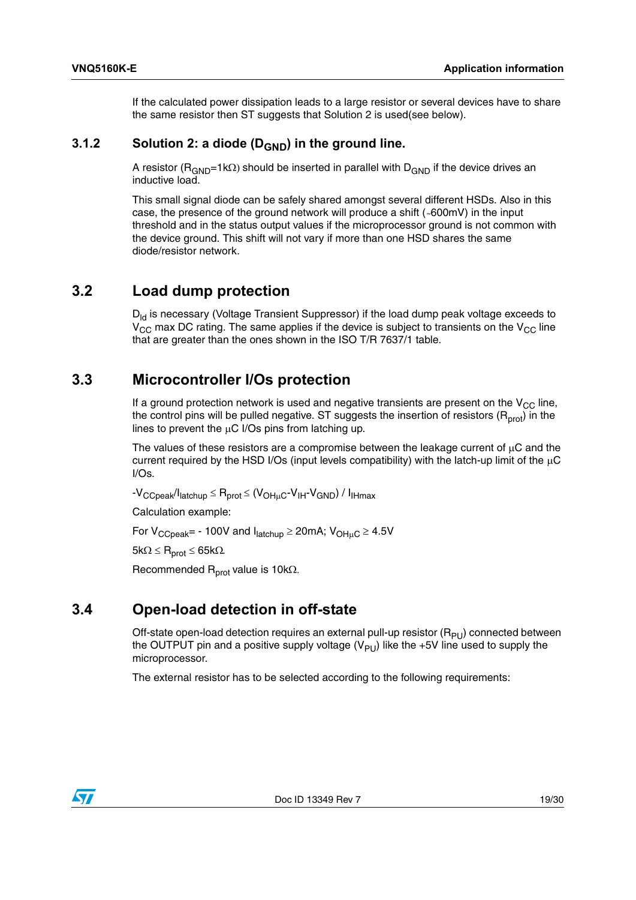If the calculated power dissipation leads to a large resistor or several devices have to share the same resistor then ST suggests that Solution 2 is used(see below).

### <span id="page-18-0"></span>**3.1.2** Solution 2: a diode (D<sub>GND</sub>) in the ground line.

A resistor ( $R_{GND}=1k\Omega$ ) should be inserted in parallel with D<sub>GND</sub> if the device drives an inductive load.

This small signal diode can be safely shared amongst several different HSDs. Also in this case, the presence of the ground network will produce a shift (*~*600mV) in the input threshold and in the status output values if the microprocessor ground is not common with the device ground. This shift will not vary if more than one HSD shares the same diode/resistor network.

### <span id="page-18-1"></span>**3.2 Load dump protection**

 $D_{\text{ld}}$  is necessary (Voltage Transient Suppressor) if the load dump peak voltage exceeds to  $V_{\text{CC}}$  max DC rating. The same applies if the device is subject to transients on the  $V_{\text{CC}}$  line that are greater than the ones shown in the ISO T/R 7637/1 table.

## <span id="page-18-2"></span>**3.3 Microcontroller I/Os protection**

If a ground protection network is used and negative transients are present on the  $V_{CC}$  line, the control pins will be pulled negative. ST suggests the insertion of resistors ( $R<sub>prot</sub>$ ) in the lines to prevent the  $\mu$ C I/Os pins from latching up.

The values of these resistors are a compromise between the leakage current of  $\mu$ C and the current required by the HSD I/Os (input levels compatibility) with the latch-up limit of the  $\mu$ C I/Os.

 $-V_{CCpeak}/I_{\text{lattchuo}} \leq R_{\text{prot}} \leq (V_{\text{OHuc}}-V_{\text{IH}}-V_{\text{GND}}) / I_{\text{IHmax}}$ 

Calculation example:

For  $V_{CCpeak}$  = - 100V and  $I_{\text{latchup}} \geq 20$  mA;  $V_{\text{OH}_{\text{UL}}C} \geq 4.5$ V

 $5k\Omega \leq R_{prot} \leq 65k\Omega$ .

Recommended  $R_{prot}$  value is 10k $\Omega$ .

## <span id="page-18-3"></span>**3.4 Open-load detection in off-state**

Off-state open-load detection requires an external pull-up resistor  $(R_{PI})$  connected between the OUTPUT pin and a positive supply voltage  $(V_{PU})$  like the +5V line used to supply the microprocessor.

The external resistor has to be selected according to the following requirements:

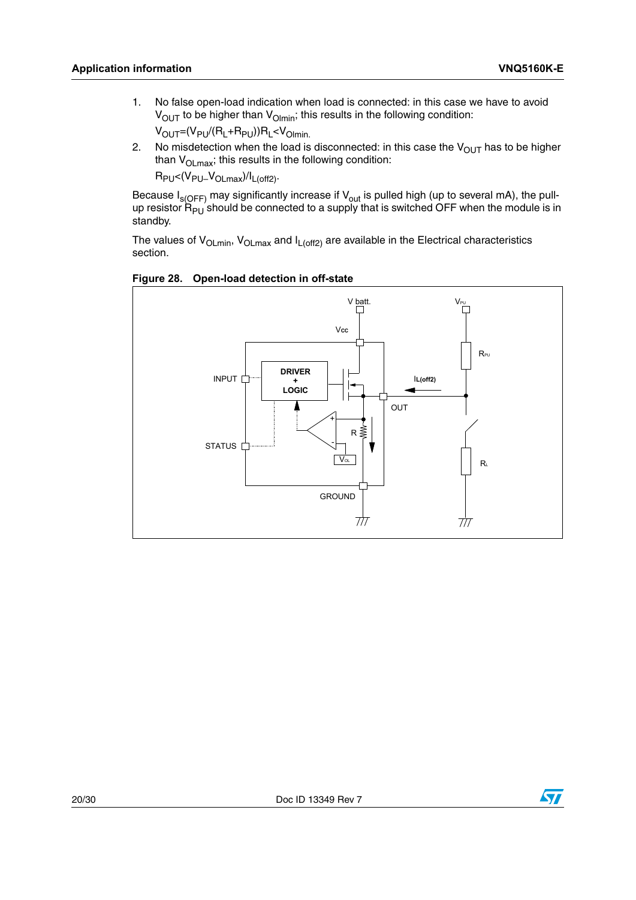- 1. No false open-load indication when load is connected: in this case we have to avoid  $V<sub>OUT</sub>$  to be higher than  $V<sub>Ohmin</sub>$ ; this results in the following condition:  $V_{OUT}=(V_{PU}/(R_L+R_{PU}))R_L < V_{Olmin}$ .
- 2. No misdetection when the load is disconnected: in this case the  $V_{OUT}$  has to be higher than  $V_{OLmax}$ ; this results in the following condition:

 $R_{PU} < (V_{PU} - V_{OLmax})/I_{L(off2)}$ .

Because I<sub>s(OFF)</sub> may significantly increase if V<sub>out</sub> is pulled high (up to several mA), the pullup resistor R<sub>PU</sub> should be connected to a supply that is switched OFF when the module is in standby.

The values of  $V_{OLmin}$ ,  $V_{OLmax}$  and  $I_{L(off2)}$  are available in the Electrical characteristics section.

<span id="page-19-0"></span>



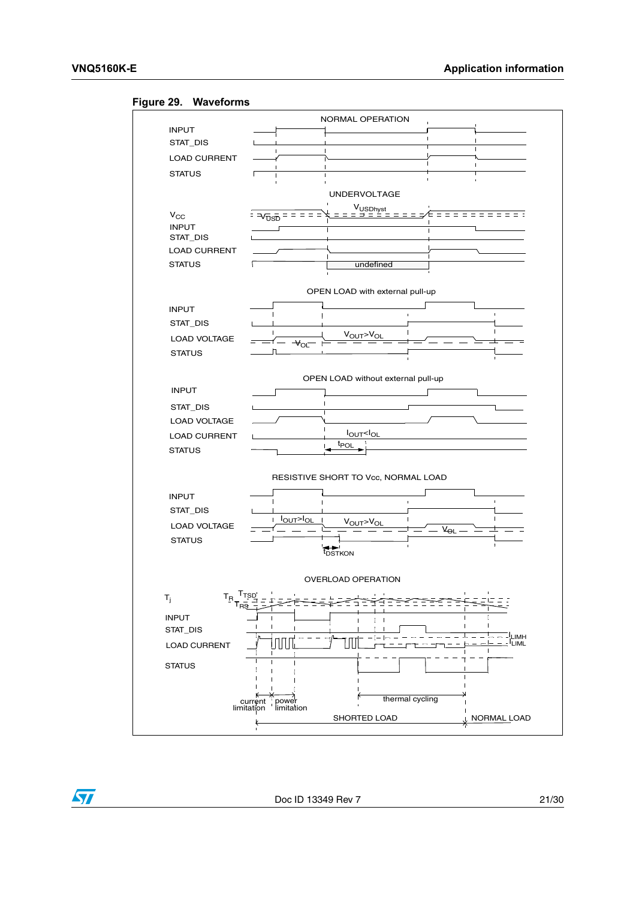<span id="page-20-0"></span>





Doc ID 13349 Rev 7 21/30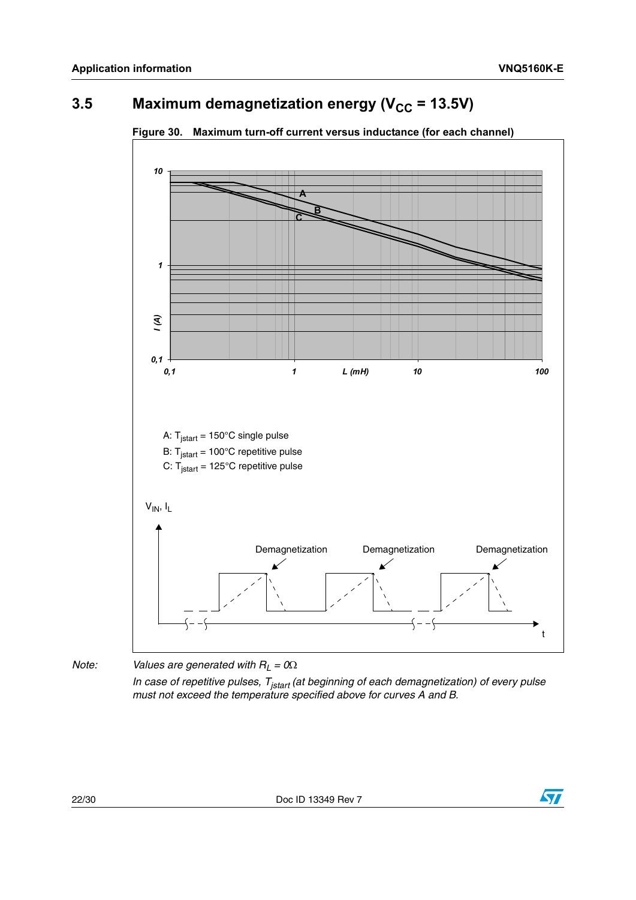# <span id="page-21-0"></span>**3.5** Maximum demagnetization energy ( $V_{CC}$  = 13.5V)



<span id="page-21-1"></span>**Figure 30. Maximum turn-off current versus inductance (for each channel)** 

*Note: Values are generated with*  $R_L = 0$ 

*In case of repetitive pulses, Tjstart (at beginning of each demagnetization) of every pulse must not exceed the temperature specified above for curves A and B.*

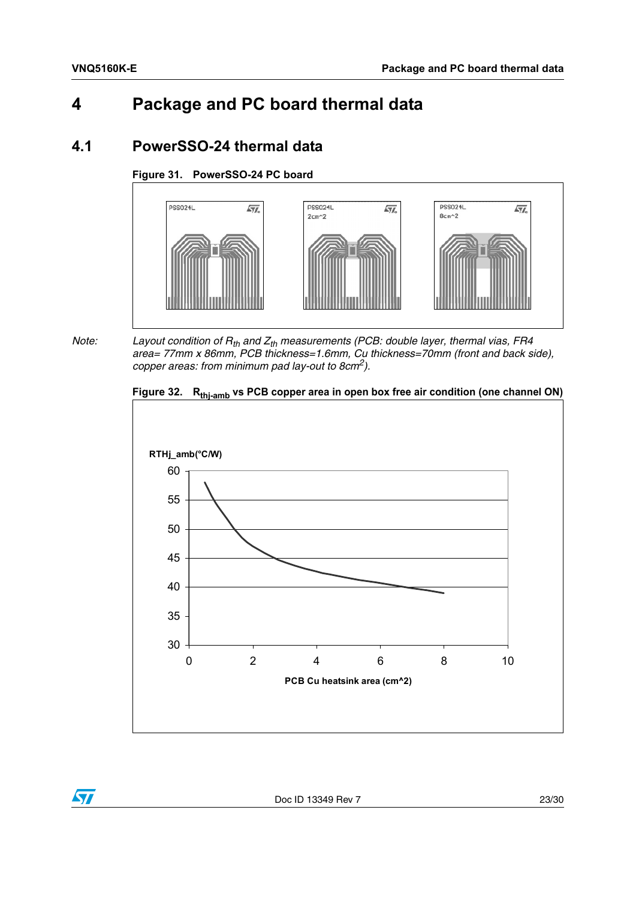# <span id="page-22-0"></span>**4 Package and PC board thermal data**

## <span id="page-22-1"></span>**4.1 PowerSSO-24 thermal data**

### <span id="page-22-2"></span>**Figure 31. PowerSSO-24 PC board**



*Note:* Layout condition of R<sub>th</sub> and Z<sub>th</sub> measurements (PCB: double layer, thermal vias, FR4 *area= 77mm x 86mm, PCB thickness=1.6mm, Cu thickness=70mm (front and back side), copper areas: from minimum pad lay-out to 8cm2).* 

<span id="page-22-3"></span>



 $\sqrt{2}$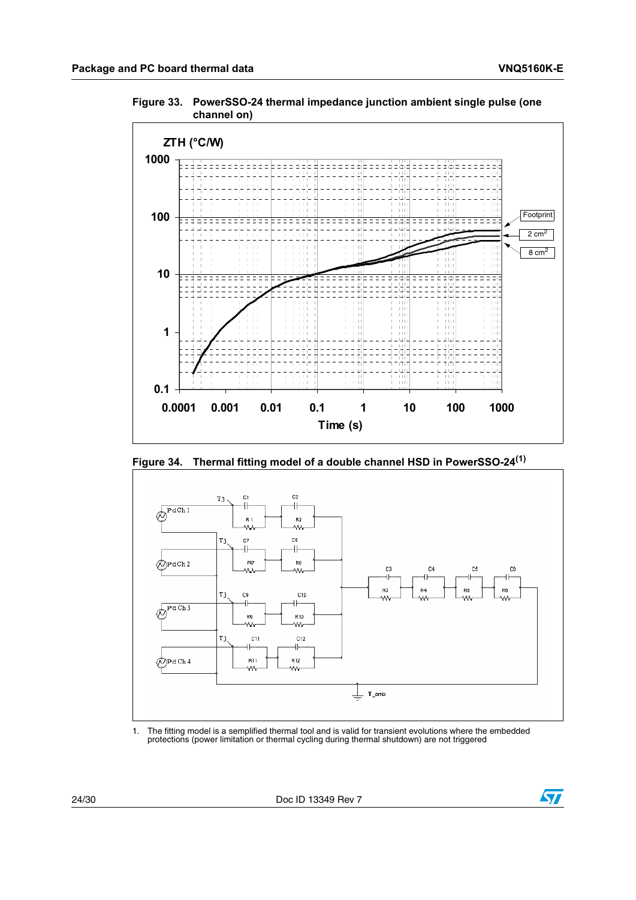<span id="page-23-0"></span>**Figure 33. PowerSSO-24 thermal impedance junction ambient single pulse (one channel on)**



<span id="page-23-1"></span>



<span id="page-23-2"></span>1. The fitting model is a semplified thermal tool and is valid for transient evolutions where the embedded protections (power limitation or thermal cycling during thermal shutdown) are not triggered

24/30 Doc ID 13349 Rev 7

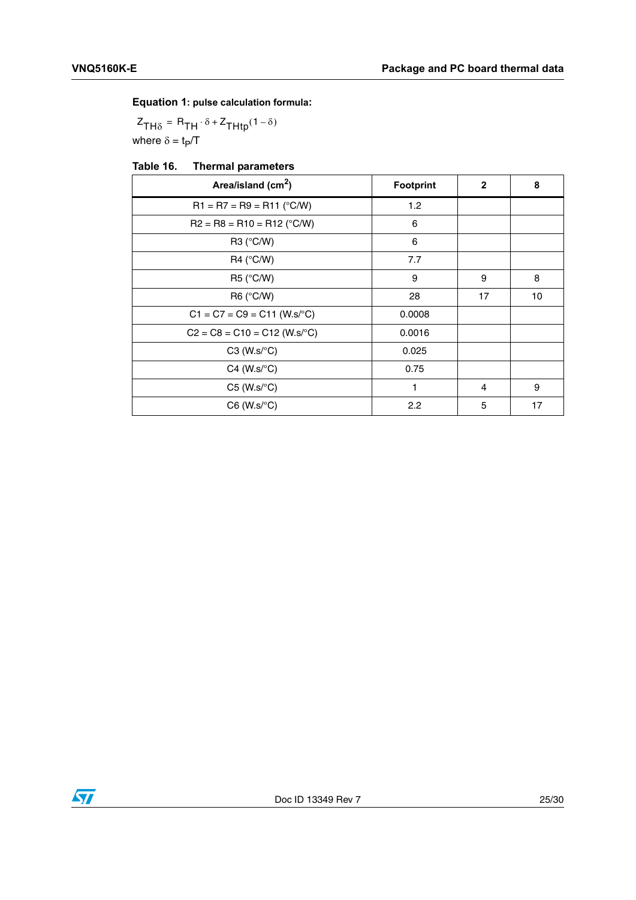### **Equation 1: pulse calculation formula:**

where  $\delta = t_P/T$  $Z_{TH\delta} = R_{TH} \cdot \delta + Z_{THtp}(1 - \delta)$ 

<span id="page-24-0"></span>

| Area/island (cm <sup>2</sup> )    | <b>Footprint</b> | $\mathbf{2}$ | 8  |
|-----------------------------------|------------------|--------------|----|
| $R1 = R7 = R9 = R11$ (°C/W)       | 1.2              |              |    |
| $R2 = R8 = R10 = R12$ (°C/W)      | 6                |              |    |
| R3 (°C/W)                         | 6                |              |    |
| $R4$ (°C/W)                       | 7.7              |              |    |
| R5 (°C/W)                         | 9                | 9            | 8  |
| $R6$ ( $\degree$ C/W)             | 28               | 17           | 10 |
| $C1 = C7 = C9 = C11$ (W.s/°C)     | 0.0008           |              |    |
| $C2 = C8 = C10 = C12$ (W.s/°C)    | 0.0016           |              |    |
| $C3$ (W.s/ $\mathrm{^{\circ}C}$ ) | 0.025            |              |    |
| $C4$ (W.s/ $\mathrm{^{\circ}C}$ ) | 0.75             |              |    |
| $C5$ (W.s/ $\textdegree C$ )      | 1                | 4            | 9  |
| $C6$ (W.s/ $\textdegree C$ )      | 2.2              | 5            | 17 |

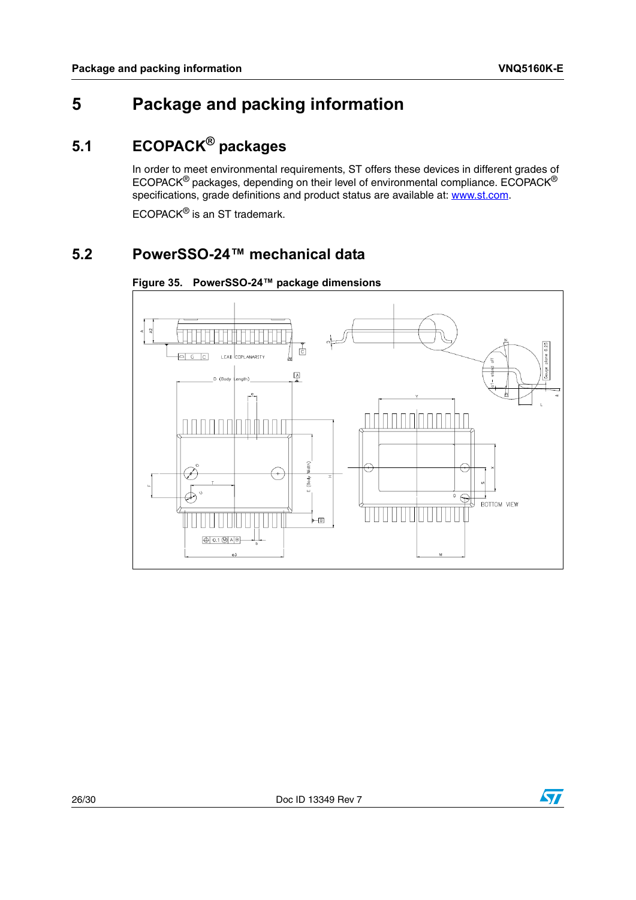# <span id="page-25-0"></span>**5 Package and packing information**

# <span id="page-25-1"></span>**5.1 ECOPACK® packages**

In order to meet environmental requirements, ST offers these devices in different grades of  $ECOPACK^@$  packages, depending on their level of environmental compliance.  $ECOPACK^@$ specifications, grade definitions and product status are available at: www.st.com.

ECOPACK® is an ST trademark.

## <span id="page-25-2"></span>**5.2 PowerSSO-24™ mechanical data**

<span id="page-25-3"></span>



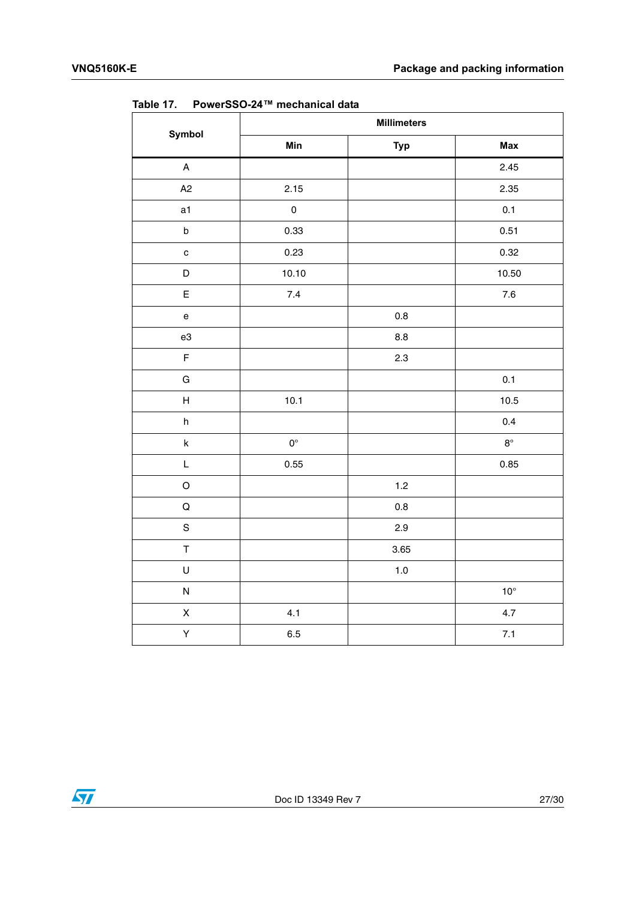| .<br>Symbol                       | , <b>,,,,,,,,,</b> ,,,,<br><b>THOMPHONE</b> AND<br><b>Millimeters</b> |            |              |
|-----------------------------------|-----------------------------------------------------------------------|------------|--------------|
|                                   | Min                                                                   | <b>Typ</b> | Max          |
| $\mathsf A$                       |                                                                       |            | 2.45         |
| A2                                | 2.15                                                                  |            | 2.35         |
| a1                                | $\mathsf{O}\xspace$                                                   |            | 0.1          |
| $\sf b$                           | 0.33                                                                  |            | 0.51         |
| $\mathbf c$                       | 0.23                                                                  |            | 0.32         |
| $\mathsf D$                       | 10.10                                                                 |            | 10.50        |
| $\mathsf E$                       | $7.4$                                                                 |            | $7.6\,$      |
| $\mathsf{e}% _{t}\left( t\right)$ |                                                                       | $0.8\,$    |              |
| e3                                |                                                                       | 8.8        |              |
| $\mathsf F$                       |                                                                       | 2.3        |              |
| ${\bf G}$                         |                                                                       |            | 0.1          |
| $\boldsymbol{\mathsf{H}}$         | 10.1                                                                  |            | 10.5         |
| h                                 |                                                                       |            | 0.4          |
| $\sf k$                           | $\mathbf{0}^\circ$                                                    |            | $8^\circ$    |
| L                                 | 0.55                                                                  |            | 0.85         |
| $\mathsf O$                       |                                                                       | 1.2        |              |
| $\mathsf Q$                       |                                                                       | $0.8\,$    |              |
| $\mathbf S$                       |                                                                       | 2.9        |              |
| $\top$                            |                                                                       | 3.65       |              |
| $\sf U$                           |                                                                       | $1.0\,$    |              |
| ${\sf N}$                         |                                                                       |            | $10^{\circ}$ |
| $\mathsf X$                       | 4.1                                                                   |            | 4.7          |
| Υ                                 | 6.5                                                                   |            | $7.1$        |

<span id="page-26-0"></span>Table 17 **Table 17. PowerSSO-24™ mechanical data**

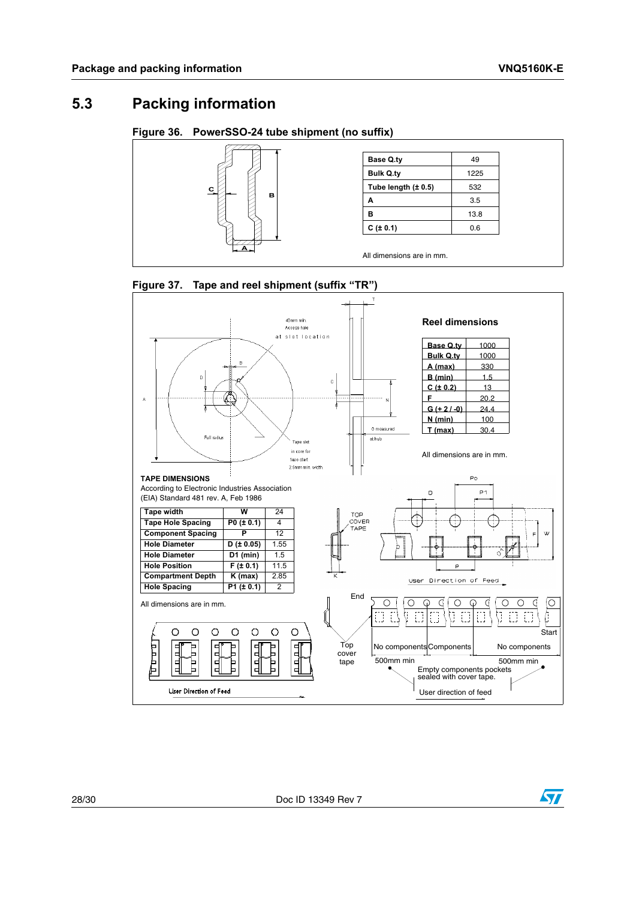ST

## <span id="page-27-0"></span>**5.3 Packing information**

### <span id="page-27-1"></span>**Figure 36. PowerSSO-24 tube shipment (no suffix)**



<span id="page-27-2"></span>

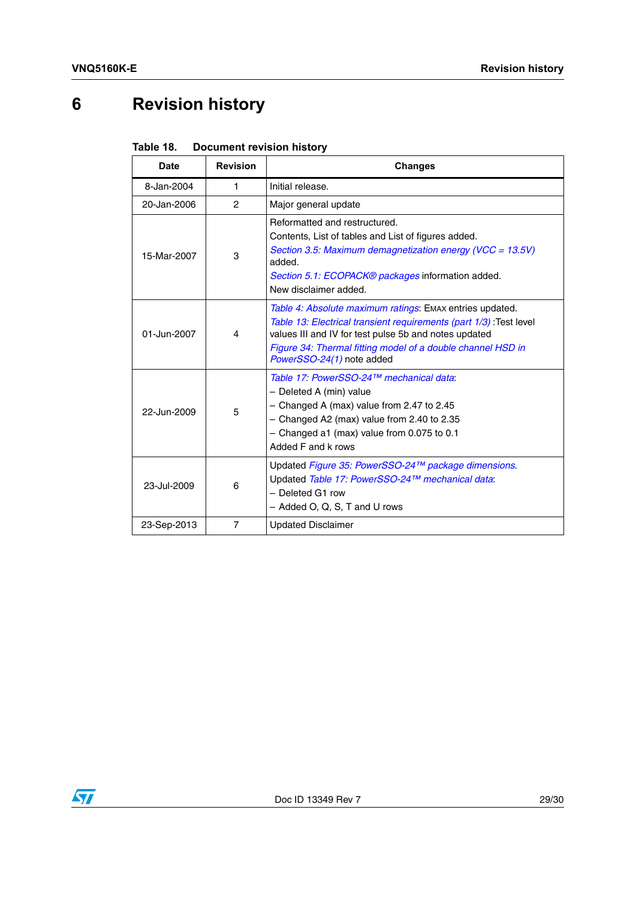# <span id="page-28-0"></span>**6 Revision history**

<span id="page-28-1"></span>

| Table 18. | <b>Document revision history</b> |
|-----------|----------------------------------|
|-----------|----------------------------------|

| <b>Date</b> | <b>Revision</b> | <b>Changes</b>                                                                                                                                                                                                                                                                      |
|-------------|-----------------|-------------------------------------------------------------------------------------------------------------------------------------------------------------------------------------------------------------------------------------------------------------------------------------|
| 8-Jan-2004  | 1               | Initial release.                                                                                                                                                                                                                                                                    |
| 20-Jan-2006 | $\overline{c}$  | Major general update                                                                                                                                                                                                                                                                |
| 15-Mar-2007 | 3               | Reformatted and restructured.<br>Contents, List of tables and List of figures added.<br>Section 3.5: Maximum demagnetization energy (VCC = 13.5V)<br>added.<br>Section 5.1: ECOPACK® packages information added.<br>New disclaimer added.                                           |
| 01-Jun-2007 | 4               | Table 4: Absolute maximum ratings: EMAX entries updated.<br>Table 13: Electrical transient requirements (part 1/3): Test level<br>values III and IV for test pulse 5b and notes updated<br>Figure 34: Thermal fitting model of a double channel HSD in<br>PowerSSO-24(1) note added |
| 22-Jun-2009 | 5               | Table 17: PowerSSO-24™ mechanical data:<br>- Deleted A (min) value<br>$-$ Changed A (max) value from 2.47 to 2.45<br>$-$ Changed A2 (max) value from 2.40 to 2.35<br>$-$ Changed a1 (max) value from 0.075 to 0.1<br>Added F and k rows                                             |
| 23-Jul-2009 | 6               | Updated Figure 35: PowerSSO-24™ package dimensions.<br>Updated Table 17: PowerSSO-24™ mechanical data:<br>- Deleted G1 row<br>- Added O, Q, S, T and U rows                                                                                                                         |
| 23-Sep-2013 | $\overline{7}$  | <b>Updated Disclaimer</b>                                                                                                                                                                                                                                                           |